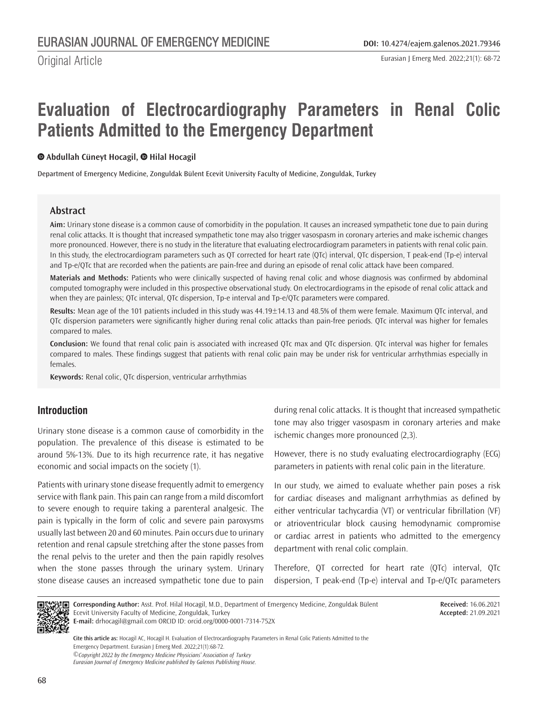Original Article

# **Evaluation of Electrocardiography Parameters in Renal Colic Patients Admitted to the Emergency Department**

## **Abdullah Cüneyt Hocagil,Hilal Hocagil**

Department of Emergency Medicine, Zonguldak Bülent Ecevit University Faculty of Medicine, Zonguldak, Turkey

## **Abstract**

**Aim:** Urinary stone disease is a common cause of comorbidity in the population. It causes an increased sympathetic tone due to pain during renal colic attacks. It is thought that increased sympathetic tone may also trigger vasospasm in coronary arteries and make ischemic changes more pronounced. However, there is no study in the literature that evaluating electrocardiogram parameters in patients with renal colic pain. In this study, the electrocardiogram parameters such as QT corrected for heart rate (QTc) interval, QTc dispersion, T peak‐end (Tp-e) interval and Tp-e/QTc that are recorded when the patients are pain-free and during an episode of renal colic attack have been compared.

**Materials and Methods:** Patients who were clinically suspected of having renal colic and whose diagnosis was confirmed by abdominal computed tomography were included in this prospective observational study. On electrocardiograms in the episode of renal colic attack and when they are painless; QTc interval, QTc dispersion, Tp-e interval and Tp-e/QTc parameters were compared.

**Results:** Mean age of the 101 patients included in this study was 44.19±14.13 and 48.5% of them were female. Maximum QTc interval, and QTc dispersion parameters were significantly higher during renal colic attacks than pain-free periods. QTc interval was higher for females compared to males.

**Conclusion:** We found that renal colic pain is associated with increased QTc max and QTc dispersion. QTc interval was higher for females compared to males. These findings suggest that patients with renal colic pain may be under risk for ventricular arrhythmias especially in females.

**Keywords:** Renal colic, QTc dispersion, ventricular arrhythmias

# **Introduction**

Urinary stone disease is a common cause of comorbidity in the population. The prevalence of this disease is estimated to be around 5%-13%. Due to its high recurrence rate, it has negative economic and social impacts on the society (1).

Patients with urinary stone disease frequently admit to emergency service with flank pain. This pain can range from a mild discomfort to severe enough to require taking a parenteral analgesic. The pain is typically in the form of colic and severe pain paroxysms usually last between 20 and 60 minutes. Pain occurs due to urinary retention and renal capsule stretching after the stone passes from the renal pelvis to the ureter and then the pain rapidly resolves when the stone passes through the urinary system. Urinary stone disease causes an increased sympathetic tone due to pain during renal colic attacks. It is thought that increased sympathetic tone may also trigger vasospasm in coronary arteries and make ischemic changes more pronounced (2,3).

However, there is no study evaluating electrocardiography (ECG) parameters in patients with renal colic pain in the literature.

In our study, we aimed to evaluate whether pain poses a risk for cardiac diseases and malignant arrhythmias as defined by either ventricular tachycardia (VT) or ventricular fibrillation (VF) or atrioventricular block causing hemodynamic compromise or cardiac arrest in patients who admitted to the emergency department with renal colic complain.

Therefore, QT corrected for heart rate (QTc) interval, QTc dispersion, T peak‐end (Tp-e) interval and Tp-e/QTc parameters



**Corresponding Author:** Asst. Prof. Hilal Hocagil, M.D., Department of Emergency Medicine, Zonguldak Bülent Ecevit University Faculty of Medicine, Zonguldak, Turkey **E-mail:** drhocagil@gmail.com ORCID ID: orcid.org/0000-0001-7314-752X

**Received:** 16.06.2021 **Accepted:** 21.09.2021

*©Copyright 2022 by the Emergency Medicine Physicians' Association of Turkey Eurasian Journal of Emergency Medicine published by Galenos Publishing House.* **Cite this article as:** Hocagil AC, Hocagil H. Evaluation of Electrocardiography Parameters in Renal Colic Patients Admitted to the Emergency Department. Eurasian J Emerg Med. 2022;21(1):68-72.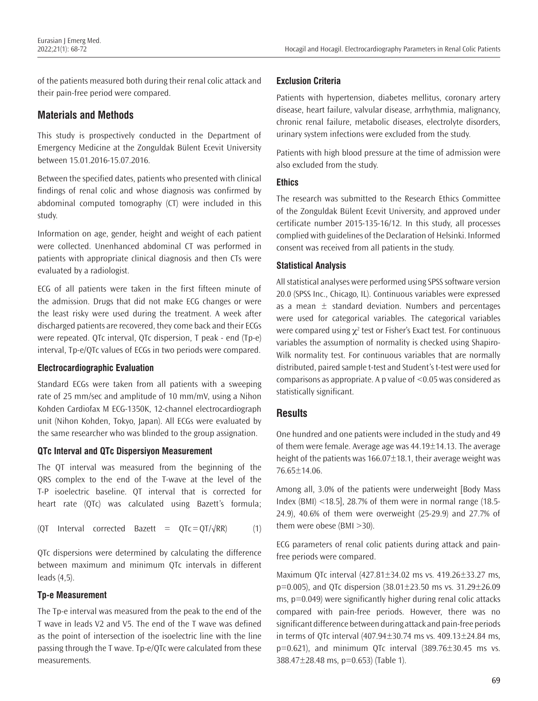of the patients measured both during their renal colic attack and their pain-free period were compared.

## **Materials and Methods**

This study is prospectively conducted in the Department of Emergency Medicine at the Zonguldak Bülent Ecevit University between 15.01.2016-15.07.2016.

Between the specified dates, patients who presented with clinical findings of renal colic and whose diagnosis was confirmed by abdominal computed tomography (CT) were included in this study.

Information on age, gender, height and weight of each patient were collected. Unenhanced abdominal CT was performed in patients with appropriate clinical diagnosis and then CTs were evaluated by a radiologist.

ECG of all patients were taken in the first fifteen minute of the admission. Drugs that did not make ECG changes or were the least risky were used during the treatment. A week after discharged patients are recovered, they come back and their ECGs were repeated. QTc interval, QTc dispersion, T peak ‐ end (Tp-e) interval, Tp-e/QTc values of ECGs in two periods were compared.

#### **Electrocardiographic Evaluation**

Standard ECGs were taken from all patients with a sweeping rate of 25 mm/sec and amplitude of 10 mm/mV, using a Nihon Kohden Cardiofax M ECG‐1350K, 12‐channel electrocardiograph unit (Nihon Kohden, Tokyo, Japan). All ECGs were evaluated by the same researcher who was blinded to the group assignation.

#### **QTc Interval and QTc Dispersiyon Measurement**

The QT interval was measured from the beginning of the QRS complex to the end of the T-wave at the level of the T-P isoelectric baseline. QT interval that is corrected for heart rate (QTc) was calculated using Bazett's formula;

$$
(QT Interval corrected Bazett = QTc = QT/\sqrt{RR})
$$
 (1)

QTc dispersions were determined by calculating the difference between maximum and minimum QTc intervals in different leads (4,5).

#### **Tp-e Measurement**

The Tp-e interval was measured from the peak to the end of the T wave in leads V2 and V5. The end of the T wave was defined as the point of intersection of the isoelectric line with the line passing through the T wave. Tp-e/QTc were calculated from these measurements.

#### **Exclusion Criteria**

Patients with hypertension, diabetes mellitus, coronary artery disease, heart failure, valvular disease, arrhythmia, malignancy, chronic renal failure, metabolic diseases, electrolyte disorders, urinary system infections were excluded from the study.

Patients with high blood pressure at the time of admission were also excluded from the study.

#### **Ethics**

The research was submitted to the Research Ethics Committee of the Zonguldak Bülent Ecevit University, and approved under certificate number 2015-135-16/12. In this study, all processes complied with guidelines of the Declaration of Helsinki. Informed consent was received from all patients in the study.

#### **Statistical Analysis**

All statistical analyses were performed using SPSS software version 20.0 (SPSS Inc., Chicago, IL). Continuous variables were expressed as a mean  $\pm$  standard deviation. Numbers and percentages were used for categorical variables. The categorical variables were compared using  $\chi^2$  test or Fisher's Exact test. For continuous variables the assumption of normality is checked using Shapiro-Wilk normality test. For continuous variables that are normally distributed, paired sample t-test and Student's t-test were used for comparisons as appropriate. A p value of <0.05 was considered as statistically significant.

## **Results**

One hundred and one patients were included in the study and 49 of them were female. Average age was 44.19±14.13. The average height of the patients was 166.07±18.1, their average weight was 76.65±14.06.

Among all, 3.0% of the patients were underweight [Body Mass Index (BMI) <18.5], 28.7% of them were in normal range (18.5- 24.9), 40.6% of them were overweight (25-29.9) and 27.7% of them were obese (BMI >30).

ECG parameters of renal colic patients during attack and painfree periods were compared.

Maximum QTc interval (427.81±34.02 ms vs. 419.26±33.27 ms, p=0.005), and QTc dispersion (38.01±23.50 ms vs. 31.29±26.09 ms, p=0.049) were significantly higher during renal colic attacks compared with pain-free periods. However, there was no significant difference between during attack and pain-free periods in terms of QTc interval (407.94±30.74 ms vs. 409.13±24.84 ms,  $p=0.621$ ), and minimum QTc interval  $(389.76 \pm 30.45$  ms vs. 388.47±28.48 ms, p=0.653) (Table 1).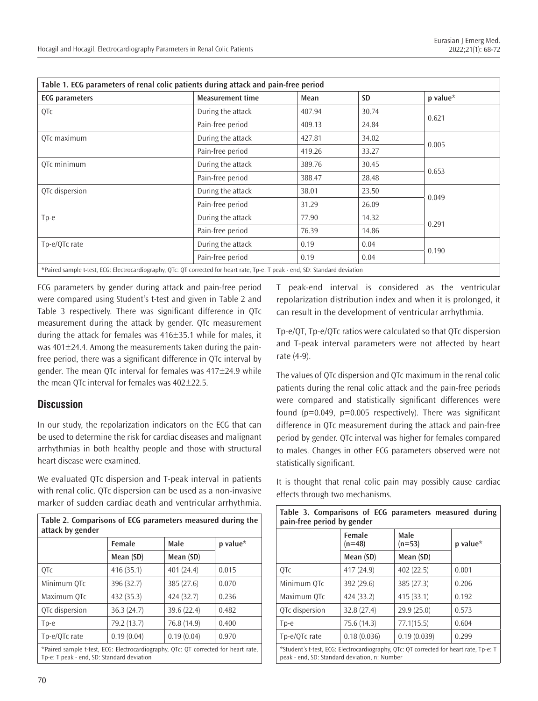| Table 1. ECG parameters of renal colic patients during attack and pain-free period |                                                                                                                               |        |           |          |  |
|------------------------------------------------------------------------------------|-------------------------------------------------------------------------------------------------------------------------------|--------|-----------|----------|--|
| <b>ECG</b> parameters                                                              | <b>Measurement time</b>                                                                                                       | Mean   | <b>SD</b> | p value* |  |
| QTc                                                                                | During the attack                                                                                                             | 407.94 | 30.74     | 0.621    |  |
|                                                                                    | Pain-free period                                                                                                              | 409.13 | 24.84     |          |  |
| OTc maximum                                                                        | During the attack                                                                                                             | 427.81 | 34.02     | 0.005    |  |
|                                                                                    | Pain-free period                                                                                                              | 419.26 | 33.27     |          |  |
| QTc minimum                                                                        | During the attack                                                                                                             | 389.76 | 30.45     | 0.653    |  |
|                                                                                    | Pain-free period                                                                                                              | 388.47 | 28.48     |          |  |
| OTc dispersion                                                                     | During the attack                                                                                                             | 38.01  | 23.50     | 0.049    |  |
|                                                                                    | Pain-free period                                                                                                              | 31.29  | 26.09     |          |  |
| $Tp-e$                                                                             | During the attack                                                                                                             | 77.90  | 14.32     | 0.291    |  |
|                                                                                    | Pain-free period                                                                                                              | 76.39  | 14.86     |          |  |
| Tp-e/OTc rate                                                                      | During the attack                                                                                                             | 0.19   | 0.04      | 0.190    |  |
|                                                                                    | Pain-free period                                                                                                              | 0.19   | 0.04      |          |  |
|                                                                                    | *Paired sample t-test, ECG: Electrocardiography, QTc: QT corrected for heart rate, Tp-e: T peak - end, SD: Standard deviation |        |           |          |  |

ECG parameters by gender during attack and pain-free period were compared using Student's t-test and given in Table 2 and Table 3 respectively. There was significant difference in QTc measurement during the attack by gender. QTc measurement during the attack for females was 416±35.1 while for males, it was  $401\pm24.4$ . Among the measurements taken during the painfree period, there was a significant difference in QTc interval by gender. The mean QTc interval for females was 417±24.9 while the mean QTc interval for females was 402±22.5.

## **Discussion**

In our study, the repolarization indicators on the ECG that can be used to determine the risk for cardiac diseases and malignant arrhythmias in both healthy people and those with structural heart disease were examined.

We evaluated QTc dispersion and T-peak interval in patients with renal colic. QTc dispersion can be used as a non-invasive marker of sudden cardiac death and ventricular arrhythmia.

**Table 2. Comparisons of ECG parameters measured during the attack by gender Female Male p value\* Mean (SD) Mean (SD)** QTc 416 (35.1) 401 (24.4) 0.015 Minimum QTc 396 (32.7) 385 (27.6) 0.070 Maximum QTc  $|432(35.3)$   $|424(32.7)$  0.236 QTc dispersion 36.3 (24.7) 39.6 (22.4) 0.482 Tp-e  $\big| 79.2 (13.7) \big| 76.8 (14.9) \big| 0.400$ Tp-e/QTc rate  $\begin{array}{|c|c|c|c|c|c|c|c|c|c|c|c|} \hline 0.19 & (0.04) \end{array}$  0.19 (0.04) 0.970 \*Paired sample t-test, ECG: Electrocardiography, QTc: QT corrected for heart rate, Tp-e: T peak ‐ end, SD: Standard deviation

T peak-end interval is considered as the ventricular repolarization distribution index and when it is prolonged, it can result in the development of ventricular arrhythmia.

Tp-e/QT, Tp-e/QTc ratios were calculated so that QTc dispersion and T-peak interval parameters were not affected by heart rate (4-9).

The values of QTc dispersion and QTc maximum in the renal colic patients during the renal colic attack and the pain-free periods were compared and statistically significant differences were found  $(p=0.049, p=0.005$  respectively). There was significant difference in QTc measurement during the attack and pain-free period by gender. QTc interval was higher for females compared to males. Changes in other ECG parameters observed were not statistically significant.

It is thought that renal colic pain may possibly cause cardiac effects through two mechanisms.

| Table 3. Comparisons of ECG parameters measured during<br>pain-free period by gender                                                    |                    |                  |          |  |  |
|-----------------------------------------------------------------------------------------------------------------------------------------|--------------------|------------------|----------|--|--|
|                                                                                                                                         | Female<br>$(n=48)$ | Male<br>$(n=53)$ | p value* |  |  |
|                                                                                                                                         | Mean (SD)          | Mean (SD)        |          |  |  |
| 0Tc                                                                                                                                     | 417 (24.9)         | 402 (22.5)       | 0.001    |  |  |
| Minimum OTc                                                                                                                             | 392 (29.6)         | 385 (27.3)       | 0.206    |  |  |
| Maximum OTc                                                                                                                             | 424 (33.2)         | 415(33.1)        | 0.192    |  |  |
| QTc dispersion                                                                                                                          | 32.8(27.4)         | 29.9(25.0)       | 0.573    |  |  |
| $Tp-e$                                                                                                                                  | 75.6 (14.3)        | 77.1(15.5)       | 0.604    |  |  |
| Tp-e/QTc rate                                                                                                                           | 0.18(0.036)        | 0.19(0.039)      | 0.299    |  |  |
| *Student's t-test, ECG: Electrocardiography, QTc: QT corrected for heart rate, Tp-e: T<br>peak - end, SD: Standard deviation, n: Number |                    |                  |          |  |  |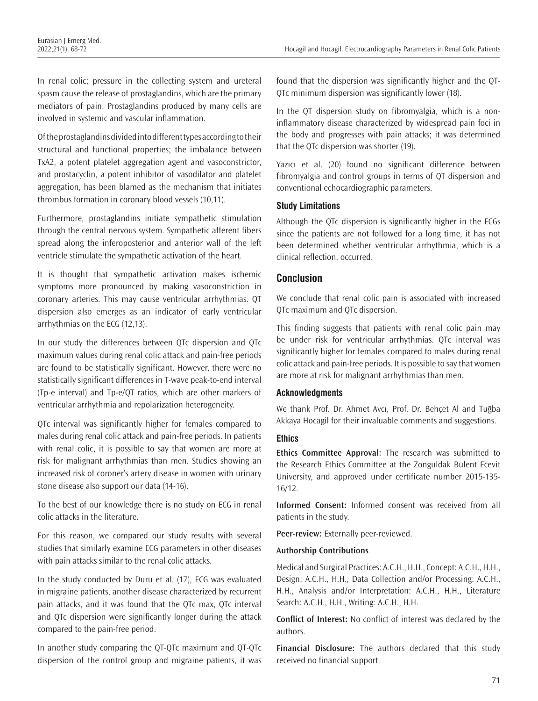In renal colic; pressure in the collecting system and ureteral spasm cause the release of prostaglandins, which are the primary mediators of pain. Prostaglandins produced by many cells are involved in systemic and vascular inflammation.

Of the prostaglandins divided into different types according to their structural and functional properties; the imbalance between TxA2, a potent platelet aggregation agent and vasoconstrictor, and prostacyclin, a potent inhibitor of vasodilator and platelet aggregation, has been blamed as the mechanism that initiates thrombus formation in coronary blood vessels (10,11).

Furthermore, prostaglandins initiate sympathetic stimulation through the central nervous system. Sympathetic afferent fibers spread along the inferoposterior and anterior wall of the left ventricle stimulate the sympathetic activation of the heart.

It is thought that sympathetic activation makes ischemic symptoms more pronounced by making vasoconstriction in coronary arteries. This may cause ventricular arrhythmias. QT dispersion also emerges as an indicator of early ventricular arrhythmias on the ECG (12,13).

In our study the differences between QTc dispersion and QTc maximum values during renal colic attack and pain-free periods are found to be statistically significant. However, there were no statistically significant differences in T-wave peak-to-end interval (Tp-e interval) and Tp-e/QT ratios, which are other markers of ventricular arrhythmia and repolarization heterogeneity.

QTc interval was significantly higher for females compared to males during renal colic attack and pain-free periods. In patients with renal colic, it is possible to say that women are more at risk for malignant arrhythmias than men. Studies showing an increased risk of coroner's artery disease in women with urinary stone disease also support our data (14-16).

To the best of our knowledge there is no study on ECG in renal colic attacks in the literature.

For this reason, we compared our study results with several studies that similarly examine ECG parameters in other diseases with pain attacks similar to the renal colic attacks.

In the study conducted by Duru et al. (17), ECG was evaluated in migraine patients, another disease characterized by recurrent pain attacks, and it was found that the QTc max, QTc interval and QTc dispersion were significantly longer during the attack compared to the pain-free period.

In another study comparing the QT-QTc maximum and QT-QTc dispersion of the control group and migraine patients, it was found that the dispersion was significantly higher and the QT-QTc minimum dispersion was significantly lower (18).

In the QT dispersion study on fibromyalgia, which is a noninflammatory disease characterized by widespread pain foci in the body and progresses with pain attacks; it was determined that the QTc dispersion was shorter (19).

Yazıcı et al. (20) found no significant difference between fibromyalgia and control groups in terms of QT dispersion and conventional echocardiographic parameters.

#### **Study Limitations**

Although the QTc dispersion is significantly higher in the ECGs since the patients are not followed for a long time, it has not been determined whether ventricular arrhythmia, which is a clinical reflection, occurred.

#### **Conclusion**

We conclude that renal colic pain is associated with increased QTc maximum and QTc dispersion.

This finding suggests that patients with renal colic pain may be under risk for ventricular arrhythmias. QTc interval was significantly higher for females compared to males during renal colic attack and pain-free periods. It is possible to say that women are more at risk for malignant arrhythmias than men.

#### **Acknowledgments**

We thank Prof. Dr. Ahmet Avcı, Prof. Dr. Behçet Al and Tuğba Akkaya Hocagil for their invaluable comments and suggestions.

#### **Ethics**

**Ethics Committee Approval:** The research was submitted to the Research Ethics Committee at the Zonguldak Bülent Ecevit University, and approved under certificate number 2015-135- 16/12.

**Informed Consent:** Informed consent was received from all patients in the study.

**Peer-review:** Externally peer-reviewed.

#### **Authorship Contributions**

Medical and Surgical Practices: A.C.H., H.H., Concept: A.C.H., H.H., Design: A.C.H., H.H., Data Collection and/or Processing: A.C.H., H.H., Analysis and/or Interpretation: A.C.H., H.H., Literature Search: A.C.H., H.H., Writing: A.C.H., H.H.

**Conflict of Interest:** No conflict of interest was declared by the authors.

**Financial Disclosure:** The authors declared that this study received no financial support.